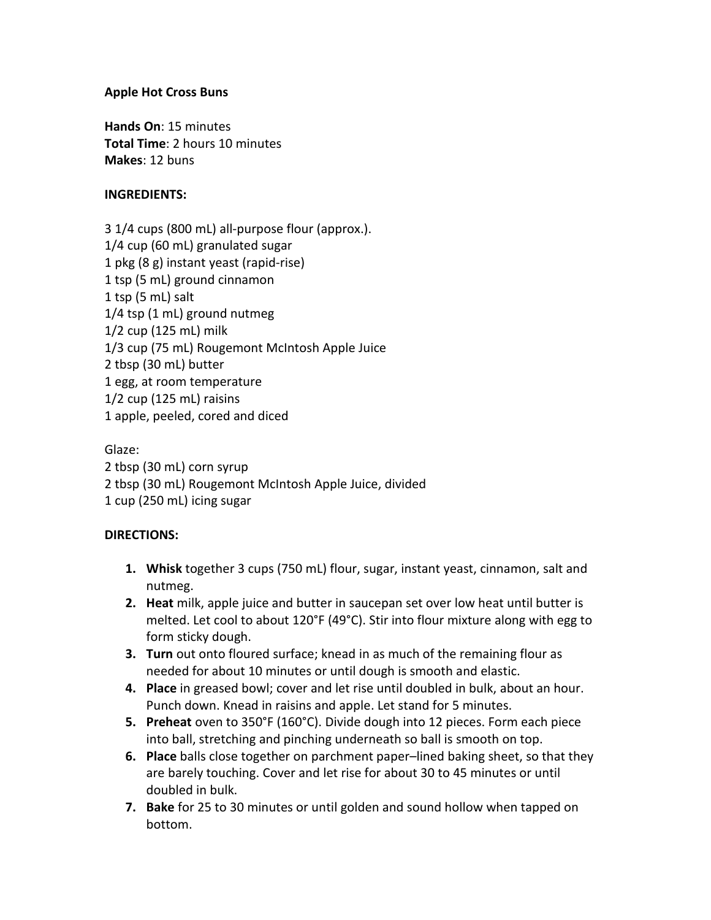## **Apple Hot Cross Buns**

**Hands On**: 15 minutes **Total Time**: 2 hours 10 minutes **Makes**: 12 buns

## **INGREDIENTS:**

3 1/4 cups (800 mL) all-purpose flour (approx.). 1/4 cup (60 mL) granulated sugar 1 pkg (8 g) instant yeast (rapid-rise) 1 tsp (5 mL) ground cinnamon 1 tsp (5 mL) salt 1/4 tsp (1 mL) ground nutmeg 1/2 cup (125 mL) milk 1/3 cup (75 mL) Rougemont McIntosh Apple Juice 2 tbsp (30 mL) butter 1 egg, at room temperature 1/2 cup (125 mL) raisins 1 apple, peeled, cored and diced

Glaze: 2 tbsp (30 mL) corn syrup 2 tbsp (30 mL) Rougemont McIntosh Apple Juice, divided 1 cup (250 mL) icing sugar

## **DIRECTIONS:**

- **1. Whisk** together 3 cups (750 mL) flour, sugar, instant yeast, cinnamon, salt and nutmeg.
- **2. Heat** milk, apple juice and butter in saucepan set over low heat until butter is melted. Let cool to about 120°F (49°C). Stir into flour mixture along with egg to form sticky dough.
- **3. Turn** out onto floured surface; knead in as much of the remaining flour as needed for about 10 minutes or until dough is smooth and elastic.
- **4. Place** in greased bowl; cover and let rise until doubled in bulk, about an hour. Punch down. Knead in raisins and apple. Let stand for 5 minutes.
- **5. Preheat** oven to 350°F (160°C). Divide dough into 12 pieces. Form each piece into ball, stretching and pinching underneath so ball is smooth on top.
- **6. Place** balls close together on parchment paper–lined baking sheet, so that they are barely touching. Cover and let rise for about 30 to 45 minutes or until doubled in bulk.
- **7. Bake** for 25 to 30 minutes or until golden and sound hollow when tapped on bottom.